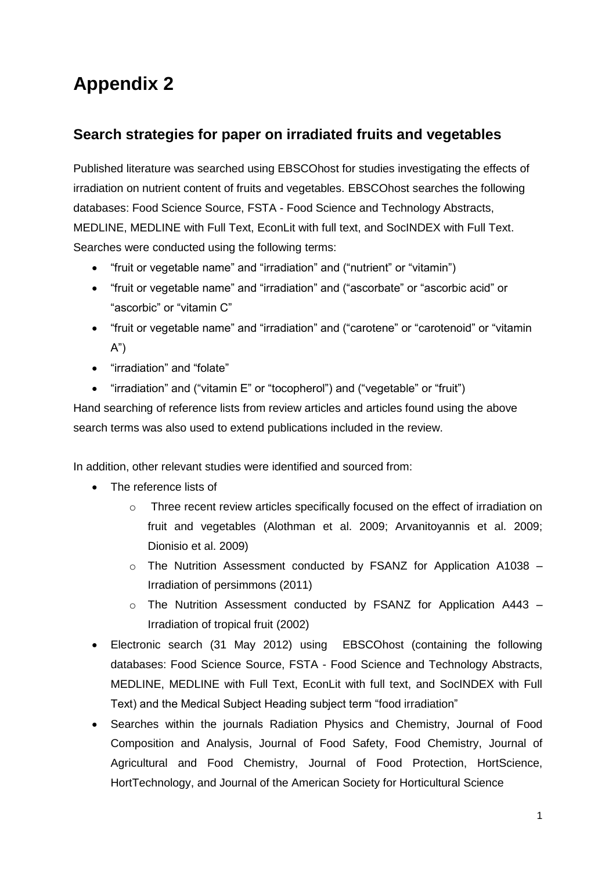## **Appendix 2**

## **Search strategies for paper on irradiated fruits and vegetables**

Published literature was searched using EBSCOhost for studies investigating the effects of irradiation on nutrient content of fruits and vegetables. EBSCOhost searches the following databases: Food Science Source, FSTA - Food Science and Technology Abstracts, MEDLINE, MEDLINE with Full Text, EconLit with full text, and SocINDEX with Full Text. Searches were conducted using the following terms:

- "fruit or vegetable name" and "irradiation" and ("nutrient" or "vitamin")
- "fruit or vegetable name" and "irradiation" and ("ascorbate" or "ascorbic acid" or "ascorbic" or "vitamin C"
- "fruit or vegetable name" and "irradiation" and ("carotene" or "carotenoid" or "vitamin A")
- "irradiation" and "folate"
- "irradiation" and ("vitamin E" or "tocopherol") and ("vegetable" or "fruit")

Hand searching of reference lists from review articles and articles found using the above search terms was also used to extend publications included in the review.

In addition, other relevant studies were identified and sourced from:

- The reference lists of
	- $\circ$  Three recent review articles specifically focused on the effect of irradiation on fruit and vegetables (Alothman et al. 2009; Arvanitoyannis et al. 2009; Dionisio et al. 2009)
	- $\circ$  The Nutrition Assessment conducted by FSANZ for Application A1038 Irradiation of persimmons (2011)
	- o The Nutrition Assessment conducted by FSANZ for Application A443 Irradiation of tropical fruit (2002)
- Electronic search (31 May 2012) using EBSCOhost (containing the following databases: Food Science Source, FSTA - Food Science and Technology Abstracts, MEDLINE, MEDLINE with Full Text, EconLit with full text, and SocINDEX with Full Text) and the Medical Subject Heading subject term "food irradiation"
- Searches within the journals Radiation Physics and Chemistry, Journal of Food Composition and Analysis, Journal of Food Safety, Food Chemistry, Journal of Agricultural and Food Chemistry, Journal of Food Protection, HortScience, HortTechnology, and Journal of the American Society for Horticultural Science